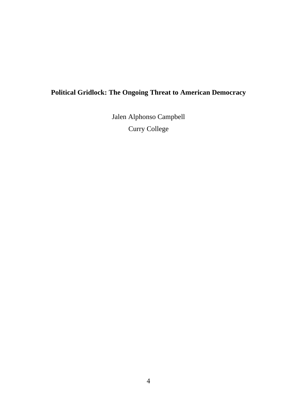# **Political Gridlock: The Ongoing Threat to American Democracy**

Jalen Alphonso Campbell Curry College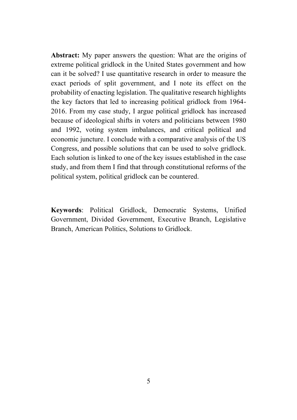**Abstract:** My paper answers the question: What are the origins of extreme political gridlock in the United States government and how can it be solved? I use quantitative research in order to measure the exact periods of split government, and I note its effect on the probability of enacting legislation. The qualitative research highlights the key factors that led to increasing political gridlock from 1964- 2016. From my case study, I argue political gridlock has increased because of ideological shifts in voters and politicians between 1980 and 1992, voting system imbalances, and critical political and economic juncture. I conclude with a comparative analysis of the US Congress, and possible solutions that can be used to solve gridlock. Each solution is linked to one of the key issues established in the case study, and from them I find that through constitutional reforms of the political system, political gridlock can be countered.

**Keywords**: Political Gridlock, Democratic Systems, Unified Government, Divided Government, Executive Branch, Legislative Branch, American Politics, Solutions to Gridlock.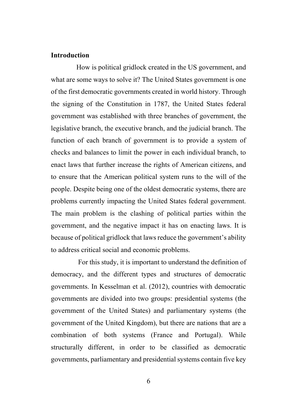#### **Introduction**

How is political gridlock created in the US government, and what are some ways to solve it? The United States government is one of the first democratic governments created in world history. Through the signing of the Constitution in 1787, the United States federal government was established with three branches of government, the legislative branch, the executive branch, and the judicial branch. The function of each branch of government is to provide a system of checks and balances to limit the power in each individual branch, to enact laws that further increase the rights of American citizens, and to ensure that the American political system runs to the will of the people. Despite being one of the oldest democratic systems, there are problems currently impacting the United States federal government. The main problem is the clashing of political parties within the government, and the negative impact it has on enacting laws. It is because of political gridlock that laws reduce the government's ability to address critical social and economic problems.

For this study, it is important to understand the definition of democracy, and the different types and structures of democratic governments. In Kesselman et al. (2012), countries with democratic governments are divided into two groups: presidential systems (the government of the United States) and parliamentary systems (the government of the United Kingdom), but there are nations that are a combination of both systems (France and Portugal). While structurally different, in order to be classified as democratic governments, parliamentary and presidential systems contain five key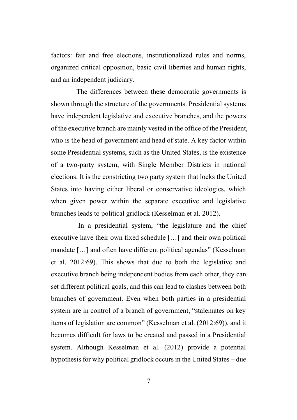factors: fair and free elections, institutionalized rules and norms, organized critical opposition, basic civil liberties and human rights, and an independent judiciary.

The differences between these democratic governments is shown through the structure of the governments. Presidential systems have independent legislative and executive branches, and the powers of the executive branch are mainly vested in the office of the President, who is the head of government and head of state. A key factor within some Presidential systems, such as the United States, is the existence of a two-party system, with Single Member Districts in national elections. It is the constricting two party system that locks the United States into having either liberal or conservative ideologies, which when given power within the separate executive and legislative branches leads to political gridlock (Kesselman et al. 2012).

In a presidential system, "the legislature and the chief executive have their own fixed schedule […] and their own political mandate […] and often have different political agendas" (Kesselman et al. 2012:69). This shows that due to both the legislative and executive branch being independent bodies from each other, they can set different political goals, and this can lead to clashes between both branches of government. Even when both parties in a presidential system are in control of a branch of government, "stalemates on key items of legislation are common" (Kesselman et al. (2012:69)), and it becomes difficult for laws to be created and passed in a Presidential system. Although Kesselman et al. (2012) provide a potential hypothesis for why political gridlock occurs in the United States – due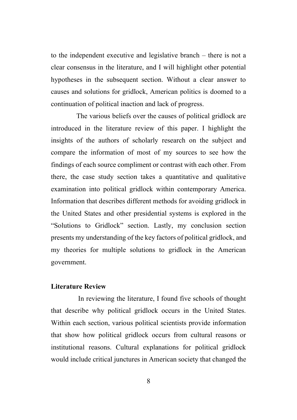to the independent executive and legislative branch – there is not a clear consensus in the literature, and I will highlight other potential hypotheses in the subsequent section. Without a clear answer to causes and solutions for gridlock, American politics is doomed to a continuation of political inaction and lack of progress.

The various beliefs over the causes of political gridlock are introduced in the literature review of this paper. I highlight the insights of the authors of scholarly research on the subject and compare the information of most of my sources to see how the findings of each source compliment or contrast with each other. From there, the case study section takes a quantitative and qualitative examination into political gridlock within contemporary America. Information that describes different methods for avoiding gridlock in the United States and other presidential systems is explored in the "Solutions to Gridlock" section. Lastly, my conclusion section presents my understanding of the key factors of political gridlock, and my theories for multiple solutions to gridlock in the American government.

### **Literature Review**

In reviewing the literature, I found five schools of thought that describe why political gridlock occurs in the United States. Within each section, various political scientists provide information that show how political gridlock occurs from cultural reasons or institutional reasons. Cultural explanations for political gridlock would include critical junctures in American society that changed the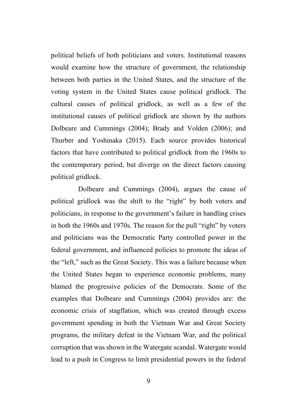political beliefs of both politicians and voters. Institutional reasons would examine how the structure of government, the relationship between both parties in the United States, and the structure of the voting system in the United States cause political gridlock. The cultural causes of political gridlock, as well as a few of the institutional causes of political gridlock are shown by the authors Dolbeare and Cummings (2004); Brady and Volden (2006); and Thurber and Yoshinaka (2015). Each source provides historical factors that have contributed to political gridlock from the 1960s to the contemporary period, but diverge on the direct factors causing political gridlock.

Dolbeare and Cummings (2004), argues the cause of political gridlock was the shift to the "right" by both voters and politicians, in response to the government's failure in handling crises in both the 1960s and 1970s. The reason for the pull "right" by voters and politicians was the Democratic Party controlled power in the federal government, and influenced policies to promote the ideas of the "left," such as the Great Society. This was a failure because when the United States began to experience economic problems, many blamed the progressive policies of the Democrats. Some of the examples that Dolbeare and Cummings (2004) provides are: the economic crisis of stagflation, which was created through excess government spending in both the Vietnam War and Great Society programs, the military defeat in the Vietnam War, and the political corruption that was shown in the Watergate scandal. Watergate would lead to a push in Congress to limit presidential powers in the federal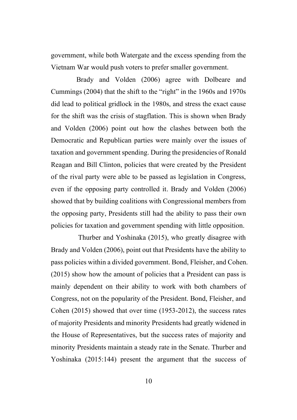government, while both Watergate and the excess spending from the Vietnam War would push voters to prefer smaller government.

Brady and Volden (2006) agree with Dolbeare and Cummings (2004) that the shift to the "right" in the 1960s and 1970s did lead to political gridlock in the 1980s, and stress the exact cause for the shift was the crisis of stagflation. This is shown when Brady and Volden (2006) point out how the clashes between both the Democratic and Republican parties were mainly over the issues of taxation and government spending. During the presidencies of Ronald Reagan and Bill Clinton, policies that were created by the President of the rival party were able to be passed as legislation in Congress, even if the opposing party controlled it. Brady and Volden (2006) showed that by building coalitions with Congressional members from the opposing party, Presidents still had the ability to pass their own policies for taxation and government spending with little opposition.

Thurber and Yoshinaka (2015), who greatly disagree with Brady and Volden (2006), point out that Presidents have the ability to pass policies within a divided government. Bond, Fleisher, and Cohen. (2015) show how the amount of policies that a President can pass is mainly dependent on their ability to work with both chambers of Congress, not on the popularity of the President. Bond, Fleisher, and Cohen (2015) showed that over time (1953-2012), the success rates of majority Presidents and minority Presidents had greatly widened in the House of Representatives, but the success rates of majority and minority Presidents maintain a steady rate in the Senate. Thurber and Yoshinaka (2015:144) present the argument that the success of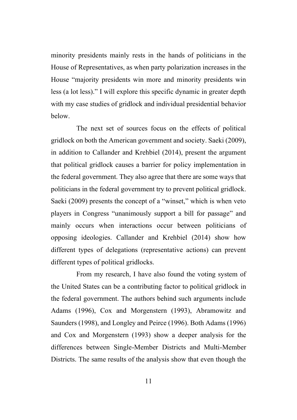minority presidents mainly rests in the hands of politicians in the House of Representatives, as when party polarization increases in the House "majority presidents win more and minority presidents win less (a lot less)." I will explore this specific dynamic in greater depth with my case studies of gridlock and individual presidential behavior below.

The next set of sources focus on the effects of political gridlock on both the American government and society. Saeki (2009), in addition to Callander and Krehbiel (2014), present the argument that political gridlock causes a barrier for policy implementation in the federal government. They also agree that there are some ways that politicians in the federal government try to prevent political gridlock. Saeki (2009) presents the concept of a "winset," which is when veto players in Congress "unanimously support a bill for passage" and mainly occurs when interactions occur between politicians of opposing ideologies. Callander and Krehbiel (2014) show how different types of delegations (representative actions) can prevent different types of political gridlocks.

From my research, I have also found the voting system of the United States can be a contributing factor to political gridlock in the federal government. The authors behind such arguments include Adams (1996), Cox and Morgenstern (1993), Abramowitz and Saunders (1998), and Longley and Peirce (1996). Both Adams (1996) and Cox and Morgenstern (1993) show a deeper analysis for the differences between Single-Member Districts and Multi-Member Districts. The same results of the analysis show that even though the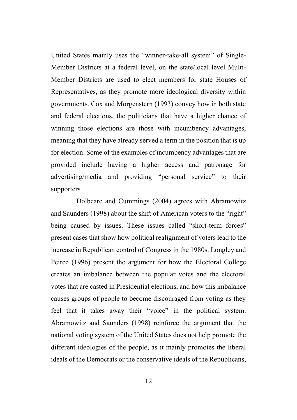United States mainly uses the "winner-take-all system" of Single-Member Districts at a federal level, on the state/local level Multi-Member Districts are used to elect members for state Houses of Representatives, as they promote more ideological diversity within governments. Cox and Morgenstern (1993) convey how in both state and federal elections, the politicians that have a higher chance of winning those elections are those with incumbency advantages, meaning that they have already served a term in the position that is up for election. Some of the examples of incumbency advantages that are provided include having a higher access and patronage for advertising/media and providing "personal service" to their supporters.

Dolbeare and Cummings (2004) agrees with Abramowitz and Saunders (1998) about the shift of American voters to the "right" being caused by issues. These issues called "short-term forces" present cases that show how political realignment of voters lead to the increase in Republican control of Congress in the 1980s. Longley and Peirce (1996) present the argument for how the Electoral College creates an imbalance between the popular votes and the electoral votes that are casted in Presidential elections, and how this imbalance causes groups of people to become discouraged from voting as they feel that it takes away their "voice" in the political system. Abramowitz and Saunders (1998) reinforce the argument that the national voting system of the United States does not help promote the different ideologies of the people, as it mainly promotes the liberal ideals of the Democrats or the conservative ideals of the Republicans,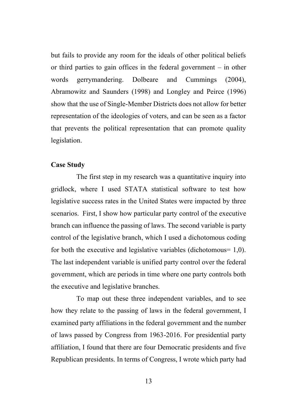but fails to provide any room for the ideals of other political beliefs or third parties to gain offices in the federal government – in other words gerrymandering. Dolbeare and Cummings (2004), Abramowitz and Saunders (1998) and Longley and Peirce (1996) show that the use of Single-Member Districts does not allow for better representation of the ideologies of voters, and can be seen as a factor that prevents the political representation that can promote quality legislation.

## **Case Study**

The first step in my research was a quantitative inquiry into gridlock, where I used STATA statistical software to test how legislative success rates in the United States were impacted by three scenarios. First, I show how particular party control of the executive branch can influence the passing of laws. The second variable is party control of the legislative branch, which I used a dichotomous coding for both the executive and legislative variables (dichotomous= 1,0). The last independent variable is unified party control over the federal government, which are periods in time where one party controls both the executive and legislative branches.

To map out these three independent variables, and to see how they relate to the passing of laws in the federal government, I examined party affiliations in the federal government and the number of laws passed by Congress from 1963-2016. For presidential party affiliation, I found that there are four Democratic presidents and five Republican presidents. In terms of Congress, I wrote which party had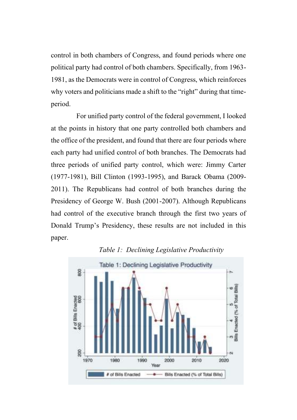control in both chambers of Congress, and found periods where one political party had control of both chambers. Specifically, from 1963- 1981, as the Democrats were in control of Congress, which reinforces why voters and politicians made a shift to the "right" during that timeperiod.

For unified party control of the federal government, I looked at the points in history that one party controlled both chambers and the office of the president, and found that there are four periods where each party had unified control of both branches. The Democrats had three periods of unified party control, which were: Jimmy Carter (1977-1981), Bill Clinton (1993-1995), and Barack Obama (2009- 2011). The Republicans had control of both branches during the Presidency of George W. Bush (2001-2007). Although Republicans had control of the executive branch through the first two years of Donald Trump's Presidency, these results are not included in this paper.



*Table 1: Declining Legislative Productivity*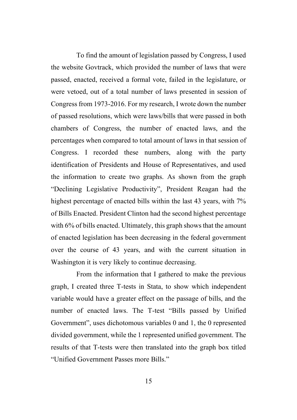To find the amount of legislation passed by Congress, I used the website Govtrack, which provided the number of laws that were passed, enacted, received a formal vote, failed in the legislature, or were vetoed, out of a total number of laws presented in session of Congress from 1973-2016. For my research, I wrote down the number of passed resolutions, which were laws/bills that were passed in both chambers of Congress, the number of enacted laws, and the percentages when compared to total amount of laws in that session of Congress. I recorded these numbers, along with the party identification of Presidents and House of Representatives, and used the information to create two graphs. As shown from the graph "Declining Legislative Productivity", President Reagan had the highest percentage of enacted bills within the last 43 years, with 7% of Bills Enacted. President Clinton had the second highest percentage with 6% of bills enacted. Ultimately, this graph shows that the amount of enacted legislation has been decreasing in the federal government over the course of 43 years, and with the current situation in Washington it is very likely to continue decreasing.

From the information that I gathered to make the previous graph, I created three T-tests in Stata, to show which independent variable would have a greater effect on the passage of bills, and the number of enacted laws. The T-test "Bills passed by Unified Government", uses dichotomous variables 0 and 1, the 0 represented divided government, while the 1 represented unified government. The results of that T-tests were then translated into the graph box titled "Unified Government Passes more Bills."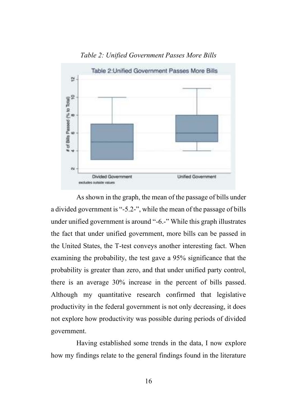

*Table 2: Unified Government Passes More Bills*

As shown in the graph, the mean of the passage of bills under a divided government is "-5.2-", while the mean of the passage of bills under unified government is around "-6.-" While this graph illustrates the fact that under unified government, more bills can be passed in the United States, the T-test conveys another interesting fact. When examining the probability, the test gave a 95% significance that the probability is greater than zero, and that under unified party control, there is an average 30% increase in the percent of bills passed. Although my quantitative research confirmed that legislative productivity in the federal government is not only decreasing, it does not explore how productivity was possible during periods of divided government.

Having established some trends in the data, I now explore how my findings relate to the general findings found in the literature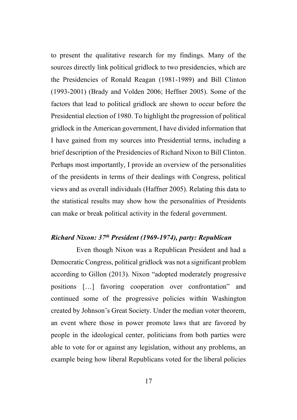to present the qualitative research for my findings. Many of the sources directly link political gridlock to two presidencies, which are the Presidencies of Ronald Reagan (1981-1989) and Bill Clinton (1993-2001) (Brady and Volden 2006; Heffner 2005). Some of the factors that lead to political gridlock are shown to occur before the Presidential election of 1980. To highlight the progression of political gridlock in the American government, I have divided information that I have gained from my sources into Presidential terms, including a brief description of the Presidencies of Richard Nixon to Bill Clinton. Perhaps most importantly, I provide an overview of the personalities of the presidents in terms of their dealings with Congress, political views and as overall individuals (Haffner 2005). Relating this data to the statistical results may show how the personalities of Presidents can make or break political activity in the federal government.

# *Richard Nixon: 37th President (1969-1974), party: Republican*

Even though Nixon was a Republican President and had a Democratic Congress, political gridlock was not a significant problem according to Gillon (2013). Nixon "adopted moderately progressive positions […] favoring cooperation over confrontation" and continued some of the progressive policies within Washington created by Johnson's Great Society. Under the median voter theorem, an event where those in power promote laws that are favored by people in the ideological center, politicians from both parties were able to vote for or against any legislation, without any problems, an example being how liberal Republicans voted for the liberal policies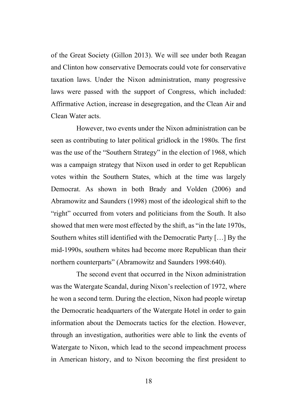of the Great Society (Gillon 2013). We will see under both Reagan and Clinton how conservative Democrats could vote for conservative taxation laws. Under the Nixon administration, many progressive laws were passed with the support of Congress, which included: Affirmative Action, increase in desegregation, and the Clean Air and Clean Water acts.

However, two events under the Nixon administration can be seen as contributing to later political gridlock in the 1980s. The first was the use of the "Southern Strategy" in the election of 1968, which was a campaign strategy that Nixon used in order to get Republican votes within the Southern States, which at the time was largely Democrat. As shown in both Brady and Volden (2006) and Abramowitz and Saunders (1998) most of the ideological shift to the "right" occurred from voters and politicians from the South. It also showed that men were most effected by the shift, as "in the late 1970s, Southern whites still identified with the Democratic Party […] By the mid-1990s, southern whites had become more Republican than their northern counterparts" (Abramowitz and Saunders 1998:640).

The second event that occurred in the Nixon administration was the Watergate Scandal, during Nixon's reelection of 1972, where he won a second term. During the election, Nixon had people wiretap the Democratic headquarters of the Watergate Hotel in order to gain information about the Democrats tactics for the election. However, through an investigation, authorities were able to link the events of Watergate to Nixon, which lead to the second impeachment process in American history, and to Nixon becoming the first president to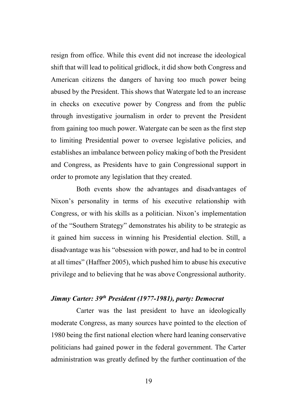resign from office. While this event did not increase the ideological shift that will lead to political gridlock, it did show both Congress and American citizens the dangers of having too much power being abused by the President. This shows that Watergate led to an increase in checks on executive power by Congress and from the public through investigative journalism in order to prevent the President from gaining too much power. Watergate can be seen as the first step to limiting Presidential power to oversee legislative policies, and establishes an imbalance between policy making of both the President and Congress, as Presidents have to gain Congressional support in order to promote any legislation that they created.

Both events show the advantages and disadvantages of Nixon's personality in terms of his executive relationship with Congress, or with his skills as a politician. Nixon's implementation of the "Southern Strategy" demonstrates his ability to be strategic as it gained him success in winning his Presidential election. Still, a disadvantage was his "obsession with power, and had to be in control at all times" (Haffner 2005), which pushed him to abuse his executive privilege and to believing that he was above Congressional authority.

# *Jimmy Carter: 39th President (1977-1981), party: Democrat*

Carter was the last president to have an ideologically moderate Congress, as many sources have pointed to the election of 1980 being the first national election where hard leaning conservative politicians had gained power in the federal government. The Carter administration was greatly defined by the further continuation of the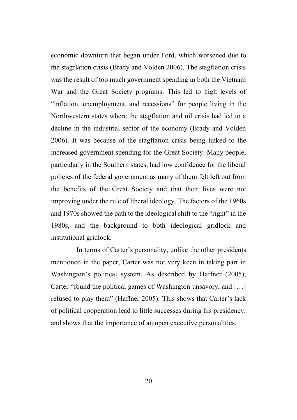economic downturn that began under Ford, which worsened due to the stagflation crisis (Brady and Volden 2006). The stagflation crisis was the result of too much government spending in both the Vietnam War and the Great Society programs. This led to high levels of "inflation, unemployment, and recessions" for people living in the Northwestern states where the stagflation and oil crisis had led to a decline in the industrial sector of the economy (Brady and Volden 2006). It was because of the stagflation crisis being linked to the increased government spending for the Great Society. Many people, particularly in the Southern states, had low confidence for the liberal policies of the federal government as many of them felt left out from the benefits of the Great Society and that their lives were not improving under the rule of liberal ideology. The factors of the 1960s and 1970s showed the path to the ideological shift to the "right" in the 1980s, and the background to both ideological gridlock and institutional gridlock.

In terms of Carter's personality, unlike the other presidents mentioned in the paper, Carter was not very keen in taking part in Washington's political system. As described by Haffner (2005), Carter "found the political games of Washington unsavory, and […] refused to play them" (Haffner 2005). This shows that Carter's lack of political cooperation lead to little successes during his presidency, and shows that the importance of an open executive personalities.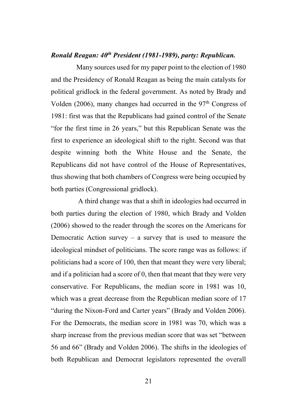# *Ronald Reagan: 40th President (1981-1989), party: Republican.*

Many sources used for my paper point to the election of 1980 and the Presidency of Ronald Reagan as being the main catalysts for political gridlock in the federal government. As noted by Brady and Volden (2006), many changes had occurred in the  $97<sup>th</sup>$  Congress of 1981: first was that the Republicans had gained control of the Senate "for the first time in 26 years," but this Republican Senate was the first to experience an ideological shift to the right. Second was that despite winning both the White House and the Senate, the Republicans did not have control of the House of Representatives, thus showing that both chambers of Congress were being occupied by both parties (Congressional gridlock).

A third change was that a shift in ideologies had occurred in both parties during the election of 1980, which Brady and Volden (2006) showed to the reader through the scores on the Americans for Democratic Action survey – a survey that is used to measure the ideological mindset of politicians. The score range was as follows: if politicians had a score of 100, then that meant they were very liberal; and if a politician had a score of 0, then that meant that they were very conservative. For Republicans, the median score in 1981 was 10, which was a great decrease from the Republican median score of 17 "during the Nixon-Ford and Carter years" (Brady and Volden 2006). For the Democrats, the median score in 1981 was 70, which was a sharp increase from the previous median score that was set "between 56 and 66" (Brady and Volden 2006). The shifts in the ideologies of both Republican and Democrat legislators represented the overall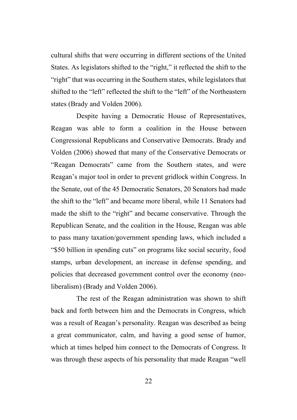cultural shifts that were occurring in different sections of the United States. As legislators shifted to the "right," it reflected the shift to the "right" that was occurring in the Southern states, while legislators that shifted to the "left" reflected the shift to the "left" of the Northeastern states (Brady and Volden 2006).

Despite having a Democratic House of Representatives, Reagan was able to form a coalition in the House between Congressional Republicans and Conservative Democrats. Brady and Volden (2006) showed that many of the Conservative Democrats or "Reagan Democrats" came from the Southern states, and were Reagan's major tool in order to prevent gridlock within Congress. In the Senate, out of the 45 Democratic Senators, 20 Senators had made the shift to the "left" and became more liberal, while 11 Senators had made the shift to the "right" and became conservative. Through the Republican Senate, and the coalition in the House, Reagan was able to pass many taxation/government spending laws, which included a "\$50 billion in spending cuts" on programs like social security, food stamps, urban development, an increase in defense spending, and policies that decreased government control over the economy (neoliberalism) (Brady and Volden 2006).

The rest of the Reagan administration was shown to shift back and forth between him and the Democrats in Congress, which was a result of Reagan's personality. Reagan was described as being a great communicator, calm, and having a good sense of humor, which at times helped him connect to the Democrats of Congress. It was through these aspects of his personality that made Reagan "well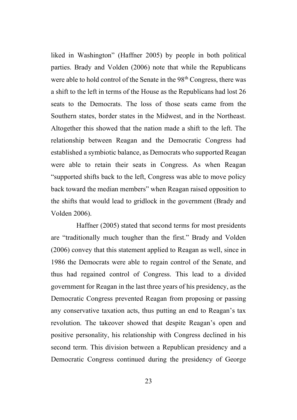liked in Washington" (Haffner 2005) by people in both political parties. Brady and Volden (2006) note that while the Republicans were able to hold control of the Senate in the 98<sup>th</sup> Congress, there was a shift to the left in terms of the House as the Republicans had lost 26 seats to the Democrats. The loss of those seats came from the Southern states, border states in the Midwest, and in the Northeast. Altogether this showed that the nation made a shift to the left. The relationship between Reagan and the Democratic Congress had established a symbiotic balance, as Democrats who supported Reagan were able to retain their seats in Congress. As when Reagan "supported shifts back to the left, Congress was able to move policy back toward the median members" when Reagan raised opposition to the shifts that would lead to gridlock in the government (Brady and Volden 2006).

Haffner (2005) stated that second terms for most presidents are "traditionally much tougher than the first." Brady and Volden (2006) convey that this statement applied to Reagan as well, since in 1986 the Democrats were able to regain control of the Senate, and thus had regained control of Congress. This lead to a divided government for Reagan in the last three years of his presidency, as the Democratic Congress prevented Reagan from proposing or passing any conservative taxation acts, thus putting an end to Reagan's tax revolution. The takeover showed that despite Reagan's open and positive personality, his relationship with Congress declined in his second term. This division between a Republican presidency and a Democratic Congress continued during the presidency of George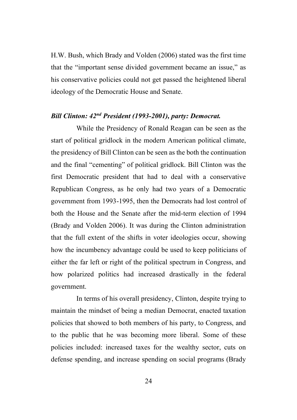H.W. Bush, which Brady and Volden (2006) stated was the first time that the "important sense divided government became an issue," as his conservative policies could not get passed the heightened liberal ideology of the Democratic House and Senate.

# *Bill Clinton: 42nd President (1993-2001), party: Democrat.*

While the Presidency of Ronald Reagan can be seen as the start of political gridlock in the modern American political climate, the presidency of Bill Clinton can be seen as the both the continuation and the final "cementing" of political gridlock. Bill Clinton was the first Democratic president that had to deal with a conservative Republican Congress, as he only had two years of a Democratic government from 1993-1995, then the Democrats had lost control of both the House and the Senate after the mid-term election of 1994 (Brady and Volden 2006). It was during the Clinton administration that the full extent of the shifts in voter ideologies occur, showing how the incumbency advantage could be used to keep politicians of either the far left or right of the political spectrum in Congress, and how polarized politics had increased drastically in the federal government.

In terms of his overall presidency, Clinton, despite trying to maintain the mindset of being a median Democrat, enacted taxation policies that showed to both members of his party, to Congress, and to the public that he was becoming more liberal. Some of these policies included: increased taxes for the wealthy sector, cuts on defense spending, and increase spending on social programs (Brady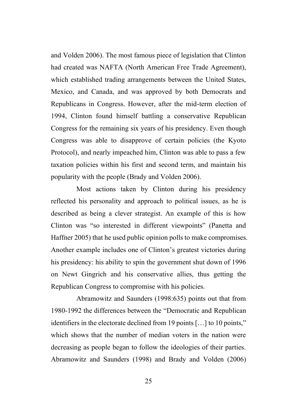and Volden 2006). The most famous piece of legislation that Clinton had created was NAFTA (North American Free Trade Agreement), which established trading arrangements between the United States, Mexico, and Canada, and was approved by both Democrats and Republicans in Congress. However, after the mid-term election of 1994, Clinton found himself battling a conservative Republican Congress for the remaining six years of his presidency. Even though Congress was able to disapprove of certain policies (the Kyoto Protocol), and nearly impeached him, Clinton was able to pass a few taxation policies within his first and second term, and maintain his popularity with the people (Brady and Volden 2006).

Most actions taken by Clinton during his presidency reflected his personality and approach to political issues, as he is described as being a clever strategist. An example of this is how Clinton was "so interested in different viewpoints" (Panetta and Haffner 2005) that he used public opinion polls to make compromises. Another example includes one of Clinton's greatest victories during his presidency: his ability to spin the government shut down of 1996 on Newt Gingrich and his conservative allies, thus getting the Republican Congress to compromise with his policies.

Abramowitz and Saunders (1998:635) points out that from 1980-1992 the differences between the "Democratic and Republican identifiers in the electorate declined from 19 points […] to 10 points," which shows that the number of median voters in the nation were decreasing as people began to follow the ideologies of their parties. Abramowitz and Saunders (1998) and Brady and Volden (2006)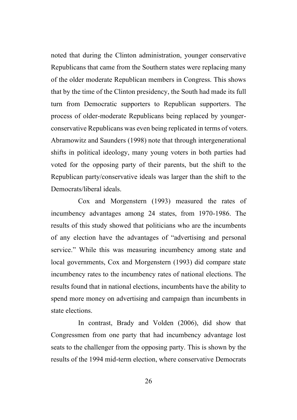noted that during the Clinton administration, younger conservative Republicans that came from the Southern states were replacing many of the older moderate Republican members in Congress. This shows that by the time of the Clinton presidency, the South had made its full turn from Democratic supporters to Republican supporters. The process of older-moderate Republicans being replaced by youngerconservative Republicans was even being replicated in terms of voters. Abramowitz and Saunders (1998) note that through intergenerational shifts in political ideology, many young voters in both parties had voted for the opposing party of their parents, but the shift to the Republican party/conservative ideals was larger than the shift to the Democrats/liberal ideals.

Cox and Morgenstern (1993) measured the rates of incumbency advantages among 24 states, from 1970-1986. The results of this study showed that politicians who are the incumbents of any election have the advantages of "advertising and personal service." While this was measuring incumbency among state and local governments, Cox and Morgenstern (1993) did compare state incumbency rates to the incumbency rates of national elections. The results found that in national elections, incumbents have the ability to spend more money on advertising and campaign than incumbents in state elections.

In contrast, Brady and Volden (2006), did show that Congressmen from one party that had incumbency advantage lost seats to the challenger from the opposing party. This is shown by the results of the 1994 mid-term election, where conservative Democrats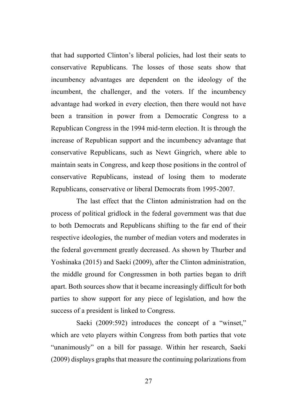that had supported Clinton's liberal policies, had lost their seats to conservative Republicans. The losses of those seats show that incumbency advantages are dependent on the ideology of the incumbent, the challenger, and the voters. If the incumbency advantage had worked in every election, then there would not have been a transition in power from a Democratic Congress to a Republican Congress in the 1994 mid-term election. It is through the increase of Republican support and the incumbency advantage that conservative Republicans, such as Newt Gingrich, where able to maintain seats in Congress, and keep those positions in the control of conservative Republicans, instead of losing them to moderate Republicans, conservative or liberal Democrats from 1995-2007.

The last effect that the Clinton administration had on the process of political gridlock in the federal government was that due to both Democrats and Republicans shifting to the far end of their respective ideologies, the number of median voters and moderates in the federal government greatly decreased. As shown by Thurber and Yoshinaka (2015) and Saeki (2009), after the Clinton administration, the middle ground for Congressmen in both parties began to drift apart. Both sources show that it became increasingly difficult for both parties to show support for any piece of legislation, and how the success of a president is linked to Congress.

Saeki (2009:592) introduces the concept of a "winset," which are veto players within Congress from both parties that vote "unanimously" on a bill for passage. Within her research, Saeki (2009) displays graphs that measure the continuing polarizations from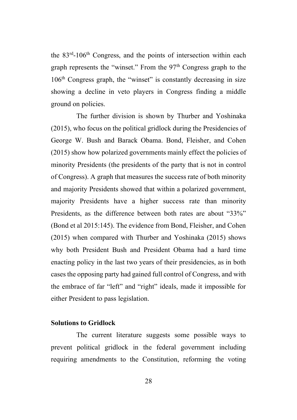the 83<sup>rd</sup>-106<sup>th</sup> Congress, and the points of intersection within each graph represents the "winset." From the  $97<sup>th</sup>$  Congress graph to the  $106<sup>th</sup>$  Congress graph, the "winset" is constantly decreasing in size showing a decline in veto players in Congress finding a middle ground on policies.

The further division is shown by Thurber and Yoshinaka (2015), who focus on the political gridlock during the Presidencies of George W. Bush and Barack Obama. Bond, Fleisher, and Cohen (2015) show how polarized governments mainly effect the policies of minority Presidents (the presidents of the party that is not in control of Congress). A graph that measures the success rate of both minority and majority Presidents showed that within a polarized government, majority Presidents have a higher success rate than minority Presidents, as the difference between both rates are about "33%" (Bond et al 2015:145). The evidence from Bond, Fleisher, and Cohen (2015) when compared with Thurber and Yoshinaka (2015) shows why both President Bush and President Obama had a hard time enacting policy in the last two years of their presidencies, as in both cases the opposing party had gained full control of Congress, and with the embrace of far "left" and "right" ideals, made it impossible for either President to pass legislation.

## **Solutions to Gridlock**

The current literature suggests some possible ways to prevent political gridlock in the federal government including requiring amendments to the Constitution, reforming the voting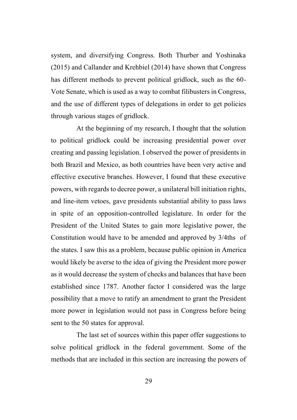system, and diversifying Congress. Both Thurber and Yoshinaka (2015) and Callander and Krehbiel (2014) have shown that Congress has different methods to prevent political gridlock, such as the 60- Vote Senate, which is used as a way to combat filibusters in Congress, and the use of different types of delegations in order to get policies through various stages of gridlock.

At the beginning of my research, I thought that the solution to political gridlock could be increasing presidential power over creating and passing legislation. I observed the power of presidents in both Brazil and Mexico, as both countries have been very active and effective executive branches. However, I found that these executive powers, with regards to decree power, a unilateral bill initiation rights, and line-item vetoes, gave presidents substantial ability to pass laws in spite of an opposition-controlled legislature. In order for the President of the United States to gain more legislative power, the Constitution would have to be amended and approved by 3/4ths of the states. I saw this as a problem, because public opinion in America would likely be averse to the idea of giving the President more power as it would decrease the system of checks and balances that have been established since 1787. Another factor I considered was the large possibility that a move to ratify an amendment to grant the President more power in legislation would not pass in Congress before being sent to the 50 states for approval.

The last set of sources within this paper offer suggestions to solve political gridlock in the federal government. Some of the methods that are included in this section are increasing the powers of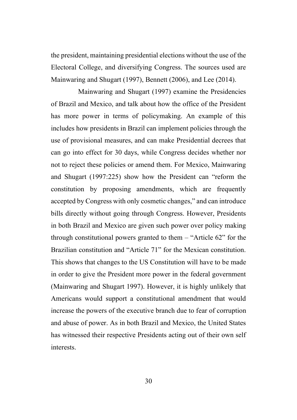the president, maintaining presidential elections without the use of the Electoral College, and diversifying Congress. The sources used are Mainwaring and Shugart (1997), Bennett (2006), and Lee (2014).

Mainwaring and Shugart (1997) examine the Presidencies of Brazil and Mexico, and talk about how the office of the President has more power in terms of policymaking. An example of this includes how presidents in Brazil can implement policies through the use of provisional measures, and can make Presidential decrees that can go into effect for 30 days, while Congress decides whether nor not to reject these policies or amend them. For Mexico, Mainwaring and Shugart (1997:225) show how the President can "reform the constitution by proposing amendments, which are frequently accepted by Congress with only cosmetic changes," and can introduce bills directly without going through Congress. However, Presidents in both Brazil and Mexico are given such power over policy making through constitutional powers granted to them – "Article 62" for the Brazilian constitution and "Article 71" for the Mexican constitution. This shows that changes to the US Constitution will have to be made in order to give the President more power in the federal government (Mainwaring and Shugart 1997). However, it is highly unlikely that Americans would support a constitutional amendment that would increase the powers of the executive branch due to fear of corruption and abuse of power. As in both Brazil and Mexico, the United States has witnessed their respective Presidents acting out of their own self interests.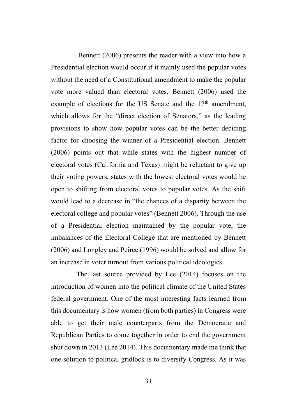Bennett (2006) presents the reader with a view into how a Presidential election would occur if it mainly used the popular votes without the need of a Constitutional amendment to make the popular vote more valued than electoral votes. Bennett (2006) used the example of elections for the US Senate and the  $17<sup>th</sup>$  amendment, which allows for the "direct election of Senators," as the leading provisions to show how popular votes can be the better deciding factor for choosing the winner of a Presidential election. Bennett (2006) points out that while states with the highest number of electoral votes (California and Texas) might be reluctant to give up their voting powers, states with the lowest electoral votes would be open to shifting from electoral votes to popular votes. As the shift would lead to a decrease in "the chances of a disparity between the electoral college and popular votes" (Bennett 2006). Through the use of a Presidential election maintained by the popular vote, the imbalances of the Electoral College that are mentioned by Bennett (2006) and Longley and Peirce (1996) would be solved and allow for an increase in voter turnout from various political ideologies.

The last source provided by Lee (2014) focuses on the introduction of women into the political climate of the United States federal government. One of the most interesting facts learned from this documentary is how women (from both parties) in Congress were able to get their male counterparts from the Democratic and Republican Parties to come together in order to end the government shut down in 2013 (Lee 2014). This documentary made me think that one solution to political gridlock is to diversify Congress. As it was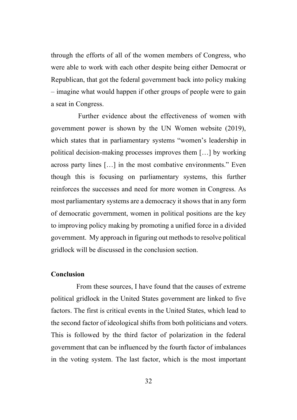through the efforts of all of the women members of Congress, who were able to work with each other despite being either Democrat or Republican, that got the federal government back into policy making – imagine what would happen if other groups of people were to gain a seat in Congress.

Further evidence about the effectiveness of women with government power is shown by the UN Women website (2019), which states that in parliamentary systems "women's leadership in political decision-making processes improves them […] by working across party lines […] in the most combative environments." Even though this is focusing on parliamentary systems, this further reinforces the successes and need for more women in Congress. As most parliamentary systems are a democracy it shows that in any form of democratic government, women in political positions are the key to improving policy making by promoting a unified force in a divided government. My approach in figuring out methods to resolve political gridlock will be discussed in the conclusion section.

### **Conclusion**

From these sources, I have found that the causes of extreme political gridlock in the United States government are linked to five factors. The first is critical events in the United States, which lead to the second factor of ideological shifts from both politicians and voters. This is followed by the third factor of polarization in the federal government that can be influenced by the fourth factor of imbalances in the voting system. The last factor, which is the most important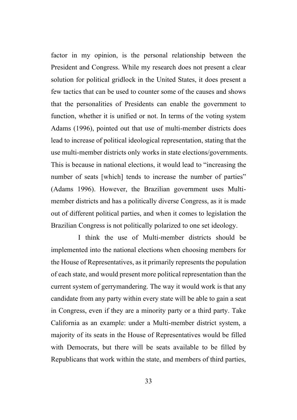factor in my opinion, is the personal relationship between the President and Congress. While my research does not present a clear solution for political gridlock in the United States, it does present a few tactics that can be used to counter some of the causes and shows that the personalities of Presidents can enable the government to function, whether it is unified or not. In terms of the voting system Adams (1996), pointed out that use of multi-member districts does lead to increase of political ideological representation, stating that the use multi-member districts only works in state elections/governments. This is because in national elections, it would lead to "increasing the number of seats [which] tends to increase the number of parties" (Adams 1996). However, the Brazilian government uses Multimember districts and has a politically diverse Congress, as it is made out of different political parties, and when it comes to legislation the Brazilian Congress is not politically polarized to one set ideology.

I think the use of Multi-member districts should be implemented into the national elections when choosing members for the House of Representatives, as it primarily represents the population of each state, and would present more political representation than the current system of gerrymandering. The way it would work is that any candidate from any party within every state will be able to gain a seat in Congress, even if they are a minority party or a third party. Take California as an example: under a Multi-member district system, a majority of its seats in the House of Representatives would be filled with Democrats, but there will be seats available to be filled by Republicans that work within the state, and members of third parties,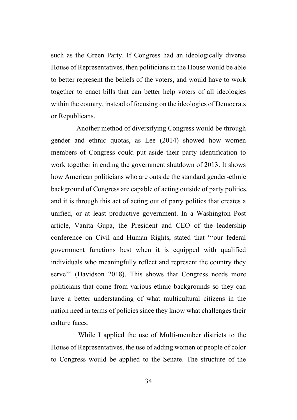such as the Green Party. If Congress had an ideologically diverse House of Representatives, then politicians in the House would be able to better represent the beliefs of the voters, and would have to work together to enact bills that can better help voters of all ideologies within the country, instead of focusing on the ideologies of Democrats or Republicans.

Another method of diversifying Congress would be through gender and ethnic quotas, as Lee (2014) showed how women members of Congress could put aside their party identification to work together in ending the government shutdown of 2013. It shows how American politicians who are outside the standard gender-ethnic background of Congress are capable of acting outside of party politics, and it is through this act of acting out of party politics that creates a unified, or at least productive government. In a Washington Post article, Vanita Gupa, the President and CEO of the leadership conference on Civil and Human Rights, stated that "'our federal government functions best when it is equipped with qualified individuals who meaningfully reflect and represent the country they serve'" (Davidson 2018). This shows that Congress needs more politicians that come from various ethnic backgrounds so they can have a better understanding of what multicultural citizens in the nation need in terms of policies since they know what challenges their culture faces.

While I applied the use of Multi-member districts to the House of Representatives, the use of adding women or people of color to Congress would be applied to the Senate. The structure of the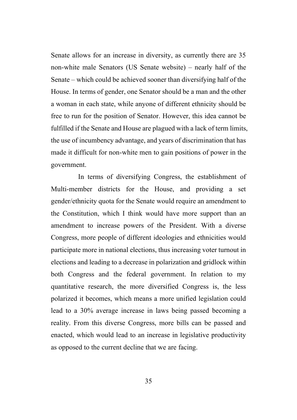Senate allows for an increase in diversity, as currently there are 35 non-white male Senators (US Senate website) – nearly half of the Senate – which could be achieved sooner than diversifying half of the House. In terms of gender, one Senator should be a man and the other a woman in each state, while anyone of different ethnicity should be free to run for the position of Senator. However, this idea cannot be fulfilled if the Senate and House are plagued with a lack of term limits, the use of incumbency advantage, and years of discrimination that has made it difficult for non-white men to gain positions of power in the government.

In terms of diversifying Congress, the establishment of Multi-member districts for the House, and providing a set gender/ethnicity quota for the Senate would require an amendment to the Constitution, which I think would have more support than an amendment to increase powers of the President. With a diverse Congress, more people of different ideologies and ethnicities would participate more in national elections, thus increasing voter turnout in elections and leading to a decrease in polarization and gridlock within both Congress and the federal government. In relation to my quantitative research, the more diversified Congress is, the less polarized it becomes, which means a more unified legislation could lead to a 30% average increase in laws being passed becoming a reality. From this diverse Congress, more bills can be passed and enacted, which would lead to an increase in legislative productivity as opposed to the current decline that we are facing.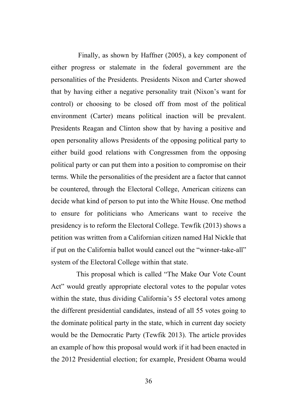Finally, as shown by Haffner (2005), a key component of either progress or stalemate in the federal government are the personalities of the Presidents. Presidents Nixon and Carter showed that by having either a negative personality trait (Nixon's want for control) or choosing to be closed off from most of the political environment (Carter) means political inaction will be prevalent. Presidents Reagan and Clinton show that by having a positive and open personality allows Presidents of the opposing political party to either build good relations with Congressmen from the opposing political party or can put them into a position to compromise on their terms. While the personalities of the president are a factor that cannot be countered, through the Electoral College, American citizens can decide what kind of person to put into the White House. One method to ensure for politicians who Americans want to receive the presidency is to reform the Electoral College. Tewfik (2013) shows a petition was written from a Californian citizen named Hal Nickle that if put on the California ballot would cancel out the "winner-take-all" system of the Electoral College within that state.

This proposal which is called "The Make Our Vote Count Act" would greatly appropriate electoral votes to the popular votes within the state, thus dividing California's 55 electoral votes among the different presidential candidates, instead of all 55 votes going to the dominate political party in the state, which in current day society would be the Democratic Party (Tewfik 2013). The article provides an example of how this proposal would work if it had been enacted in the 2012 Presidential election; for example, President Obama would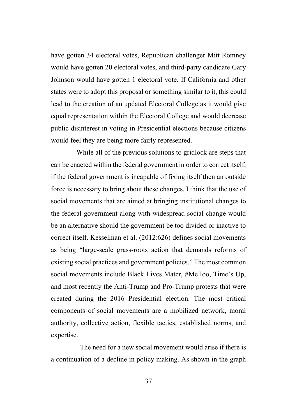have gotten 34 electoral votes, Republican challenger Mitt Romney would have gotten 20 electoral votes, and third-party candidate Gary Johnson would have gotten 1 electoral vote. If California and other states were to adopt this proposal or something similar to it, this could lead to the creation of an updated Electoral College as it would give equal representation within the Electoral College and would decrease public disinterest in voting in Presidential elections because citizens would feel they are being more fairly represented.

While all of the previous solutions to gridlock are steps that can be enacted within the federal government in order to correct itself, if the federal government is incapable of fixing itself then an outside force is necessary to bring about these changes. I think that the use of social movements that are aimed at bringing institutional changes to the federal government along with widespread social change would be an alternative should the government be too divided or inactive to correct itself. Kesselman et al. (2012:626) defines social movements as being "large-scale grass-roots action that demands reforms of existing social practices and government policies." The most common social movements include Black Lives Mater, #MeToo, Time's Up, and most recently the Anti-Trump and Pro-Trump protests that were created during the 2016 Presidential election. The most critical components of social movements are a mobilized network, moral authority, collective action, flexible tactics, established norms, and expertise.

 The need for a new social movement would arise if there is a continuation of a decline in policy making. As shown in the graph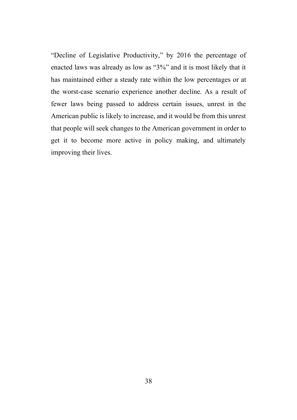"Decline of Legislative Productivity," by 2016 the percentage of enacted laws was already as low as "3%" and it is most likely that it has maintained either a steady rate within the low percentages or at the worst-case scenario experience another decline. As a result of fewer laws being passed to address certain issues, unrest in the American public is likely to increase, and it would be from this unrest that people will seek changes to the American government in order to get it to become more active in policy making, and ultimately improving their lives.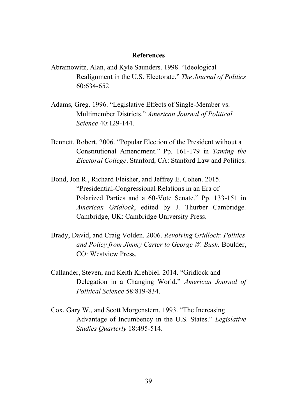#### **References**

- Abramowitz, Alan, and Kyle Saunders. 1998. "Ideological Realignment in the U.S. Electorate." *The Journal of Politics* 60:634-652.
- Adams, Greg. 1996. "Legislative Effects of Single-Member vs. Multimember Districts." *American Journal of Political Science* 40:129-144.
- Bennett, Robert. 2006. "Popular Election of the President without a Constitutional Amendment." Pp. 161-179 in *Taming the Electoral College*. Stanford, CA: Stanford Law and Politics.
- Bond, Jon R., Richard Fleisher, and Jeffrey E. Cohen. 2015. "Presidential-Congressional Relations in an Era of Polarized Parties and a 60-Vote Senate." Pp. 133-151 in *American Gridlock*, edited by J. Thurber Cambridge. Cambridge, UK: Cambridge University Press.
- Brady, David, and Craig Volden. 2006. *Revolving Gridlock: Politics and Policy from Jimmy Carter to George W. Bush.* Boulder, CO: Westview Press.
- Callander, Steven, and Keith Krehbiel. 2014. "Gridlock and Delegation in a Changing World." *American Journal of Political Science* 58:819-834.
- Cox, Gary W., and Scott Morgenstern. 1993. "The Increasing Advantage of Incumbency in the U.S. States." *Legislative Studies Quarterly* 18:495-514.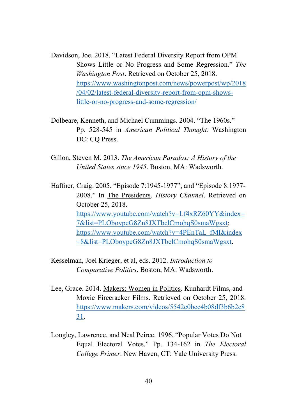Davidson, Joe. 2018. "Latest Federal Diversity Report from OPM Shows Little or No Progress and Some Regression." *The Washington Post*. Retrieved on October 25, 2018. [https://www.washingtonpost.com/news/powerpost/wp/2018](https://www.washingtonpost.com/news/powerpost/wp/2018/04/02/latest-federal-diversity-report-from-opm-shows-little-or-no-progress-and-some-regression/) [/04/02/latest-federal-diversity-report-from-opm-shows](https://www.washingtonpost.com/news/powerpost/wp/2018/04/02/latest-federal-diversity-report-from-opm-shows-little-or-no-progress-and-some-regression/)[little-or-no-progress-and-some-regression/](https://www.washingtonpost.com/news/powerpost/wp/2018/04/02/latest-federal-diversity-report-from-opm-shows-little-or-no-progress-and-some-regression/)

- Dolbeare, Kenneth, and Michael Cummings. 2004. "The 1960s." Pp. 528-545 in *American Political Thought*. Washington DC: CO Press.
- Gillon, Steven M. 2013. *The American Paradox: A History of the United States since 1945*. Boston, MA: Wadsworth.

Haffner, Craig. 2005. "Episode 7:1945-1977", and "Episode 8:1977- 2008." In The Presidents. *History Channel*. Retrieved on October 25, 2018. [https://www.youtube.com/watch?v=Lf4xRZ60YY&index=](https://www.youtube.com/watch?v=Lf4xRZ60YY&index=7&list=PLOboypeG8Zn8JXTbclCmohqS0smaWgsxt) [7&list=PLOboypeG8Zn8JXTbclCmohqS0smaWgsxt;](https://www.youtube.com/watch?v=Lf4xRZ60YY&index=7&list=PLOboypeG8Zn8JXTbclCmohqS0smaWgsxt) [https://www.youtube.com/watch?v=4PEnTaL\\_fMI&index](https://www.youtube.com/watch?v=4PEnTaL_fMI&index=8&list=PLOboypeG8Zn8JXTbclCmohqS0smaWgsxt) [=8&list=PLOboypeG8Zn8JXTbclCmohqS0smaWgsxt.](https://www.youtube.com/watch?v=4PEnTaL_fMI&index=8&list=PLOboypeG8Zn8JXTbclCmohqS0smaWgsxt)

Kesselman, Joel Krieger, et al, eds. 2012. *Introduction to Comparative Politics*. Boston, MA: Wadsworth.

- Lee, Grace. 2014. Makers: Women in Politics. Kunhardt Films, and Moxie Firecracker Films. Retrieved on October 25, 2018. [https://www.makers.com/videos/5542e0bee4b08df3b6b2c8](https://www.makers.com/videos/5542e0bee4b08df3b6b2c831) [31.](https://www.makers.com/videos/5542e0bee4b08df3b6b2c831)
- Longley, Lawrence, and Neal Peirce. 1996. "Popular Votes Do Not Equal Electoral Votes." Pp. 134-162 in *The Electoral College Primer*. New Haven, CT: Yale University Press.